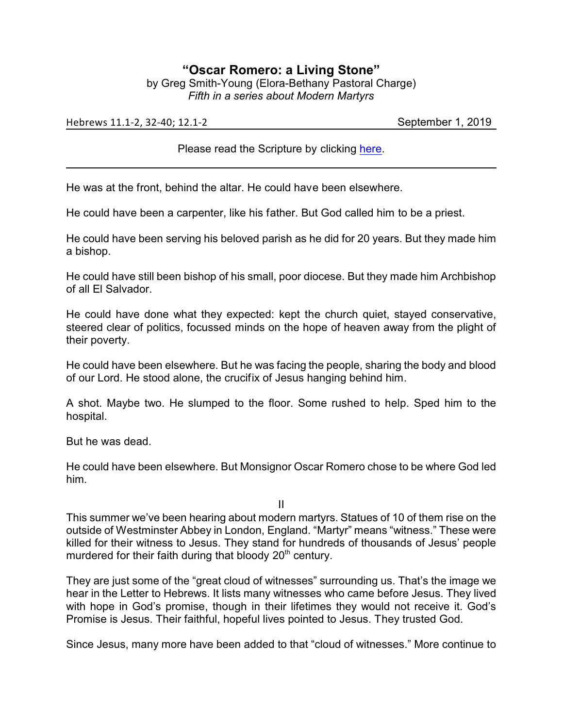## **"Oscar Romero: a Living Stone"**

by Greg Smith-Young (Elora-Bethany Pastoral Charge) *Fifth in a series about Modern Martyrs*

Hebrews 11.1-2, 32-40; 12.1-2 September 1, 2019

Please read the Scripture by clicking [here](https://www.biblegateway.com/passage/?search=Hebrews+11.1-2%2C+32-40%3B+12.1-2&version=CEB).

He was at the front, behind the altar. He could have been elsewhere.

He could have been a carpenter, like his father. But God called him to be a priest.

He could have been serving his beloved parish as he did for 20 years. But they made him a bishop.

He could have still been bishop of his small, poor diocese. But they made him Archbishop of all El Salvador.

He could have done what they expected: kept the church quiet, stayed conservative, steered clear of politics, focussed minds on the hope of heaven away from the plight of their poverty.

He could have been elsewhere. But he was facing the people, sharing the body and blood of our Lord. He stood alone, the crucifix of Jesus hanging behind him.

A shot. Maybe two. He slumped to the floor. Some rushed to help. Sped him to the hospital.

But he was dead.

He could have been elsewhere. But Monsignor Oscar Romero chose to be where God led him.

II

This summer we've been hearing about modern martyrs. Statues of 10 of them rise on the outside of Westminster Abbey in London, England. "Martyr" means "witness." These were killed for their witness to Jesus. They stand for hundreds of thousands of Jesus' people murdered for their faith during that bloody  $20<sup>th</sup>$  century.

They are just some of the "great cloud of witnesses" surrounding us. That's the image we hear in the Letter to Hebrews. It lists many witnesses who came before Jesus. They lived with hope in God's promise, though in their lifetimes they would not receive it. God's Promise is Jesus. Their faithful, hopeful lives pointed to Jesus. They trusted God.

Since Jesus, many more have been added to that "cloud of witnesses." More continue to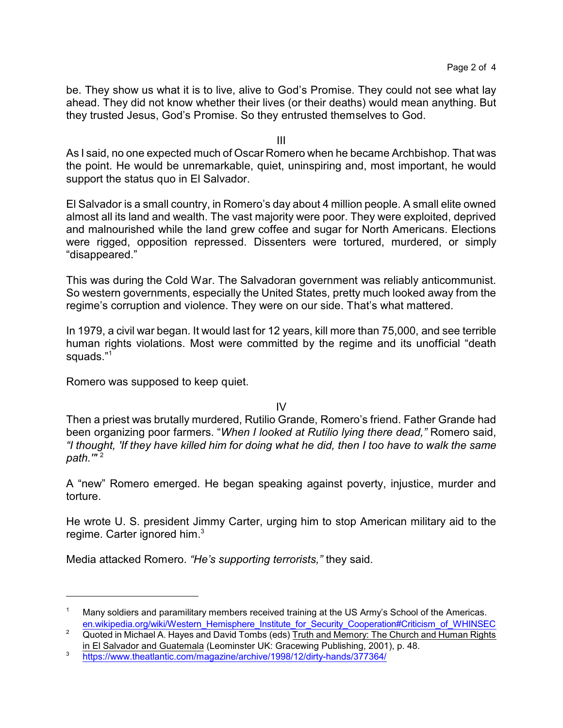be. They show us what it is to live, alive to God's Promise. They could not see what lay ahead. They did not know whether their lives (or their deaths) would mean anything. But they trusted Jesus, God's Promise. So they entrusted themselves to God.

III

As I said, no one expected much of Oscar Romero when he became Archbishop. That was the point. He would be unremarkable, quiet, uninspiring and, most important, he would support the status quo in El Salvador.

El Salvador is a small country, in Romero's day about 4 million people. A small elite owned almost all its land and wealth. The vast majority were poor. They were exploited, deprived and malnourished while the land grew coffee and sugar for North Americans. Elections were rigged, opposition repressed. Dissenters were tortured, murdered, or simply "disappeared."

This was during the Cold War. The Salvadoran government was reliably anticommunist. So western governments, especially the United States, pretty much looked away from the regime's corruption and violence. They were on our side. That's what mattered.

In 1979, a civil war began. It would last for 12 years, kill more than 75,000, and see terrible human rights violations. Most were committed by the regime and its unofficial "death squads."<sup>1</sup>

Romero was supposed to keep quiet.

IV

Then a priest was brutally murdered, Rutilio Grande, Romero's friend. Father Grande had been organizing poor farmers. "*When I looked at Rutilio lying there dead,"* Romero said, *"I thought, 'If they have killed him for doing what he did, then I too have to walk the same path.'"* <sup>2</sup>

A "new" Romero emerged. He began speaking against poverty, injustice, murder and torture.

He wrote U. S. president Jimmy Carter, urging him to stop American military aid to the regime. Carter ignored him.<sup>3</sup>

Media attacked Romero. *"He's supporting terrorists,"* they said.

Many soldiers and paramilitary members received training at the US Army's School of the Americas. [en.wikipedia.org/wiki/Western\\_Hemisphere\\_Institute\\_for\\_Security\\_Cooperation#Criticism\\_of\\_WHINSEC](https://en.wikipedia.org/wiki/Western_Hemisphere_Institute_for_Security_Cooperation#Criticism_of_WHINSEC)

<sup>&</sup>lt;sup>2</sup> Quoted in Michael A. Hayes and David Tombs (eds) Truth and Memory: The Church and Human Rights in El Salvador and Guatemala (Leominster UK: Gracewing Publishing, 2001), p. 48.

<sup>3</sup> <https://www.theatlantic.com/magazine/archive/1998/12/dirty-hands/377364/>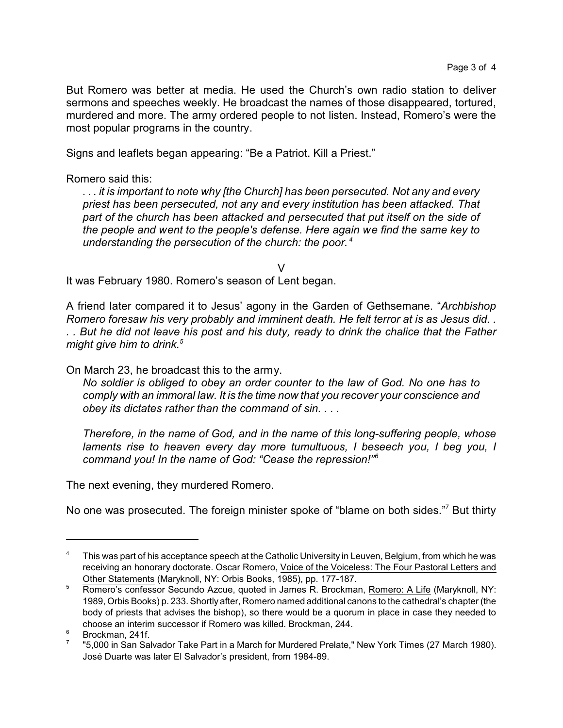But Romero was better at media. He used the Church's own radio station to deliver sermons and speeches weekly. He broadcast the names of those disappeared, tortured, murdered and more. The army ordered people to not listen. Instead, Romero's were the most popular programs in the country.

Signs and leaflets began appearing: "Be a Patriot. Kill a Priest."

Romero said this:

*. . . it is important to note why [the Church] has been persecuted. Not any and every priest has been persecuted, not any and every institution has been attacked. That part of the church has been attacked and persecuted that put itself on the side of the people and went to the people's defense. Here again we find the same key to understanding the persecution of the church: the poor. <sup>4</sup>*

V

It was February 1980. Romero's season of Lent began.

A friend later compared it to Jesus' agony in the Garden of Gethsemane. "*Archbishop Romero foresaw his very probably and imminent death. He felt terror at is as Jesus did. . . . But he did not leave his post and his duty, ready to drink the chalice that the Father might give him to drink.<sup>5</sup>*

On March 23, he broadcast this to the army.

*No soldier is obliged to obey an order counter to the law of God. No one has to comply with an immoral law. It is the time now that you recover your conscience and obey its dictates rather than the command of sin. . . .* 

*Therefore, in the name of God, and in the name of this long-suffering people, whose laments rise to heaven every day more tumultuous, I beseech you, I beg you, I command you! In the name of God: "Cease the repression!"<sup>6</sup>*

The next evening, they murdered Romero.

No one was prosecuted. The foreign minister spoke of "blame on both sides."<sup>7</sup> But thirty

<sup>&</sup>lt;sup>4</sup> This was part of his acceptance speech at the Catholic University in Leuven, Belgium, from which he was receiving an honorary doctorate. Oscar Romero, Voice of the Voiceless: The Four Pastoral Letters and Other Statements (Maryknoll, NY: Orbis Books, 1985), pp. 177-187.

<sup>5</sup> Romero's confessor Secundo Azcue, quoted in James R. Brockman, Romero: A Life (Maryknoll, NY: 1989, Orbis Books) p. 233. Shortly after, Romero named additional canons to the cathedral's chapter (the body of priests that advises the bishop), so there would be a quorum in place in case they needed to choose an interim successor if Romero was killed. Brockman, 244.

<sup>6</sup> Brockman, 241f.

<sup>7</sup> "5,000 in San Salvador Take Part in a March for Murdered Prelate," New York Times (27 March 1980). José Duarte was later El Salvador's president, from 1984-89.